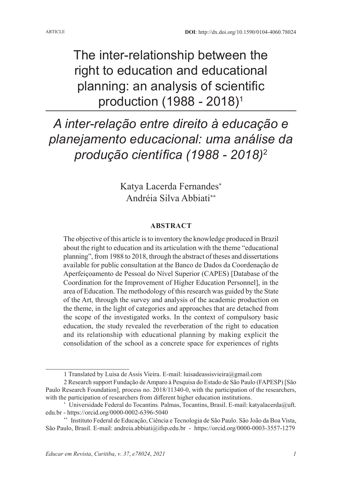The inter-relationship between the right to education and educational planning: an analysis of scientific production (1988 - 2018)1

# *A inter-relação entre direito à educação e planejamento educacional: uma análise da produção científica (1988 - 2018)*<sup>2</sup>

Katya Lacerda Fernandes<sup>∗</sup> Andréia Silva Abbiati∗∗

#### **ABSTRACT**

The objective of this article is to inventory the knowledge produced in Brazil about the right to education and its articulation with the theme "educational planning", from 1988 to 2018, through the abstract of theses and dissertations available for public consultation at the Banco de Dados da Coordenação de Aperfeiçoamento de Pessoal do Nível Superior (CAPES) [Database of the Coordination for the Improvement of Higher Education Personnel], in the area of Education. The methodology of this research was guided by the State of the Art, through the survey and analysis of the academic production on the theme, in the light of categories and approaches that are detached from the scope of the investigated works. In the context of compulsory basic education, the study revealed the reverberation of the right to education and its relationship with educational planning by making explicit the consolidation of the school as a concrete space for experiences of rights

<sup>1</sup> Translated by Luisa de Assis Vieira. E-mail: luisadeassisvieira@gmail.com

<sup>2</sup> Research support Fundação de Amparo à Pesquisa do Estado de São Paulo (FAPESP) [São Paulo Research Foundation], process no. 2018/11340-0, with the participation of the researchers, with the participation of researchers from different higher education institutions.

<sup>\*</sup> Universidade Federal do Tocantins. Palmas, Tocantins, Brasil. E-mail: katyalacerda@uft. edu.br - https://orcid.org/0000-0002-6396-5040

<sup>\*\*</sup> Instituto Federal de Educação, Ciência e Tecnologia de São Paulo. São João da Boa Vista, São Paulo, Brasil. E-mail: andreia.abbiati@ifsp.edu.br - https://orcid.org/0000-0003-3557-1279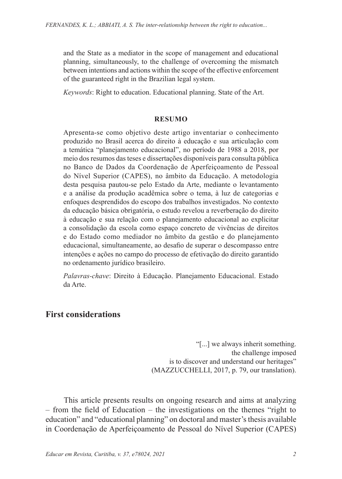and the State as a mediator in the scope of management and educational planning, simultaneously, to the challenge of overcoming the mismatch between intentions and actions within the scope of the effective enforcement of the guaranteed right in the Brazilian legal system.

*Keywords*: Right to education. Educational planning. State of the Art.

#### **RESUMO**

Apresenta-se como objetivo deste artigo inventariar o conhecimento produzido no Brasil acerca do direito à educação e sua articulação com a temática "planejamento educacional", no período de 1988 a 2018, por meio dos resumos das teses e dissertações disponíveis para consulta pública no Banco de Dados da Coordenação de Aperfeiçoamento de Pessoal do Nível Superior (CAPES), no âmbito da Educação. A metodologia desta pesquisa pautou-se pelo Estado da Arte, mediante o levantamento e a análise da produção acadêmica sobre o tema, à luz de categorias e enfoques desprendidos do escopo dos trabalhos investigados. No contexto da educação básica obrigatória, o estudo revelou a reverberação do direito à educação e sua relação com o planejamento educacional ao explicitar a consolidação da escola como espaço concreto de vivências de direitos e do Estado como mediador no âmbito da gestão e do planejamento educacional, simultaneamente, ao desafio de superar o descompasso entre intenções e ações no campo do processo de efetivação do direito garantido no ordenamento jurídico brasileiro.

*Palavras-chave*: Direito à Educação. Planejamento Educacional. Estado da Arte.

## **First considerations**

"[...] we always inherit something. the challenge imposed is to discover and understand our heritages" (MAZZUCCHELLI, 2017, p. 79, our translation).

This article presents results on ongoing research and aims at analyzing – from the field of Education – the investigations on the themes "right to education" and "educational planning" on doctoral and master's thesis available in Coordenação de Aperfeiçoamento de Pessoal do Nível Superior (CAPES)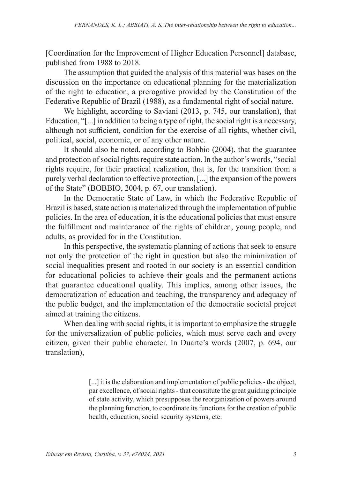[Coordination for the Improvement of Higher Education Personnel] database, published from 1988 to 2018.

The assumption that guided the analysis of this material was bases on the discussion on the importance on educational planning for the materialization of the right to education, a prerogative provided by the Constitution of the Federative Republic of Brazil (1988), as a fundamental right of social nature.

We highlight, according to Saviani (2013, p. 745, our translation), that Education, "[...] in addition to being a type of right, the social right is a necessary, although not sufficient, condition for the exercise of all rights, whether civil, political, social, economic, or of any other nature.

It should also be noted, according to Bobbio (2004), that the guarantee and protection of social rights require state action. In the author's words, "social rights require, for their practical realization, that is, for the transition from a purely verbal declaration to effective protection, [...] the expansion of the powers of the State" (BOBBIO, 2004, p. 67, our translation).

In the Democratic State of Law, in which the Federative Republic of Brazil is based, state action is materialized through the implementation of public policies. In the area of education, it is the educational policies that must ensure the fulfillment and maintenance of the rights of children, young people, and adults, as provided for in the Constitution.

In this perspective, the systematic planning of actions that seek to ensure not only the protection of the right in question but also the minimization of social inequalities present and rooted in our society is an essential condition for educational policies to achieve their goals and the permanent actions that guarantee educational quality. This implies, among other issues, the democratization of education and teaching, the transparency and adequacy of the public budget, and the implementation of the democratic societal project aimed at training the citizens.

When dealing with social rights, it is important to emphasize the struggle for the universalization of public policies, which must serve each and every citizen, given their public character. In Duarte's words (2007, p. 694, our translation),

> [...] it is the elaboration and implementation of public policies - the object, par excellence, of social rights - that constitute the great guiding principle of state activity, which presupposes the reorganization of powers around the planning function, to coordinate its functions for the creation of public health, education, social security systems, etc.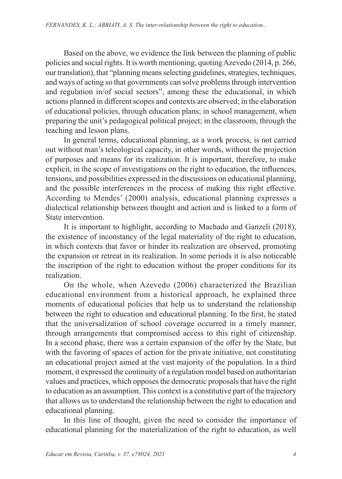Based on the above, we evidence the link between the planning of public policies and social rights. It is worth mentioning, quoting Azevedo (2014, p. 266, our translation), that "planning means selecting guidelines, strategies, techniques, and ways of acting so that governments can solve problems through intervention and regulation in/of social sectors", among these the educational, in which actions planned in different scopes and contexts are observed; in the elaboration of educational policies, through education plans; in school management, when preparing the unit's pedagogical political project; in the classroom, through the teaching and lesson plans.

In general terms, educational planning, as a work process, is not carried out without man's teleological capacity, in other words, without the projection of purposes and means for its realization. It is important, therefore, to make explicit, in the scope of investigations on the right to education, the influences, tensions, and possibilities expressed in the discussions on educational planning, and the possible interferences in the process of making this right effective. According to Mendes' (2000) analysis, educational planning expresses a dialectical relationship between thought and action and is linked to a form of State intervention.

It is important to highlight, according to Machado and Ganzeli (2018), the existence of inconstancy of the legal materiality of the right to education, in which contexts that favor or hinder its realization are observed, promoting the expansion or retreat in its realization. In some periods it is also noticeable the inscription of the right to education without the proper conditions for its realization.

On the whole, when Azevedo (2006) characterized the Brazilian educational environment from a historical approach, he explained three moments of educational policies that help us to understand the relationship between the right to education and educational planning. In the first, he stated that the universalization of school coverage occurred in a timely manner, through arrangements that compromised access to this right of citizenship. In a second phase, there was a certain expansion of the offer by the State, but with the favoring of spaces of action for the private initiative, not constituting an educational project aimed at the vast majority of the population. In a third moment, it expressed the continuity of a regulation model based on authoritarian values and practices, which opposes the democratic proposals that have the right to education as an assumption. This context is a constitutive part of the trajectory that allows us to understand the relationship between the right to education and educational planning.

In this line of thought, given the need to consider the importance of educational planning for the materialization of the right to education, as well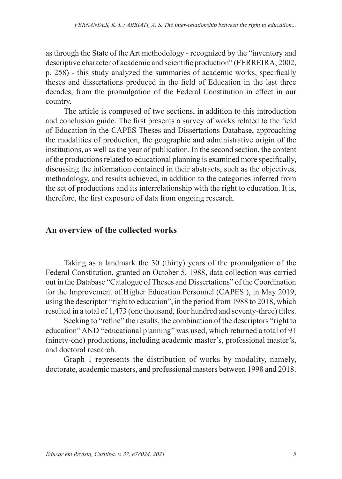as through the State of the Art methodology - recognized by the "inventory and descriptive character of academic and scientific production" (FERREIRA, 2002, p. 258) - this study analyzed the summaries of academic works, specifically theses and dissertations produced in the field of Education in the last three decades, from the promulgation of the Federal Constitution in effect in our country.

The article is composed of two sections, in addition to this introduction and conclusion guide. The first presents a survey of works related to the field of Education in the CAPES Theses and Dissertations Database, approaching the modalities of production, the geographic and administrative origin of the institutions, as well as the year of publication. In the second section, the content of the productions related to educational planning is examined more specifically, discussing the information contained in their abstracts, such as the objectives, methodology, and results achieved, in addition to the categories inferred from the set of productions and its interrelationship with the right to education. It is, therefore, the first exposure of data from ongoing research.

## **An overview of the collected works**

Taking as a landmark the 30 (thirty) years of the promulgation of the Federal Constitution, granted on October 5, 1988, data collection was carried out in the Database "Catalogue of Theses and Dissertations" of the Coordination for the Improvement of Higher Education Personnel (CAPES ), in May 2019, using the descriptor "right to education", in the period from 1988 to 2018, which resulted in a total of 1,473 (one thousand, four hundred and seventy-three) titles.

Seeking to "refine" the results, the combination of the descriptors "right to education" AND "educational planning" was used, which returned a total of 91 (ninety-one) productions, including academic master's, professional master's, and doctoral research.

Graph 1 represents the distribution of works by modality, namely, doctorate, academic masters, and professional masters between 1998 and 2018.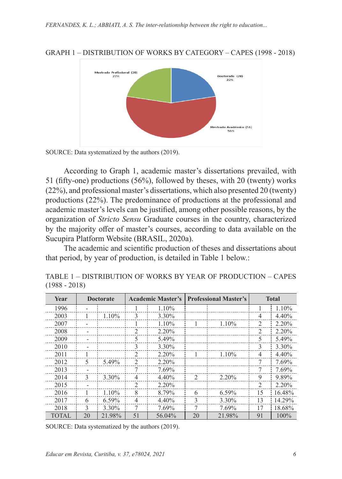#### GRAPH 1 – DISTRIBUTION OF WORKS BY CATEGORY – CAPES (1998 - 2018)



SOURCE: Data systematized by the authors (2019).

According to Graph 1, academic master's dissertations prevailed, with 51 (fifty-one) productions (56%), followed by theses, with 20 (twenty) works (22%), and professional master's dissertations, which also presented 20 (twenty) productions (22%). The predominance of productions at the professional and academic master's levels can be justified, among other possible reasons, by the organization of *Stricto Sensu* Graduate courses in the country, characterized by the majority offer of master's courses, according to data available on the Sucupira Platform Website (BRASIL, 2020a).

The academic and scientific production of theses and dissertations about that period, by year of production, is detailed in Table 1 below.:

| <b>Year</b>  |    | <b>Doctorate</b> |                | <b>Academic Master's</b> |               | <b>Professional Master's</b> |                | <b>Total</b> |
|--------------|----|------------------|----------------|--------------------------|---------------|------------------------------|----------------|--------------|
| 1996         |    |                  |                | 1.10%                    |               |                              |                | 1.10%        |
| 2003         |    | 1.10%            | 3              | 3.30%                    |               |                              | 4              | 4.40%        |
| 2007         |    |                  |                | 1.10%                    |               | 1.10%                        | $\overline{2}$ | 2.20%        |
| 2008         |    |                  | 2              | 2.20%                    |               |                              | $\overline{c}$ | 2.20%        |
| 2009         |    |                  | 5              | 5.49%                    |               |                              | 5              | 5.49%        |
| 2010         |    |                  | 3              | 3.30%                    |               |                              | 3              | 3.30%        |
| 2011         |    |                  | 2              | 2.20%                    |               | 1.10%                        | 4              | 4.40%        |
| 2012         | 5  | 5.49%            | $\mathfrak{D}$ | $2.20\%$                 |               |                              | 7              | 7.69%        |
| 2013         |    |                  |                | 7.69%                    |               |                              |                | 7.69%        |
| 2014         | 3  | 3.30%            | 4              | 4.40%                    | $\mathcal{L}$ | 2.20%                        | 9              | 9.89%        |
| 2015         |    |                  | $\mathfrak{D}$ | 2.20%                    |               |                              | $\mathfrak{D}$ | 2.20%        |
| 2016         |    | 1.10%            | 8              | 8.79%                    | 6             | 6.59%                        | 15             | 16.48%       |
| 2017         | 6  | 6.59%            | 4              | 4.40%                    | 3             | 3.30%                        | 13             | 14.29%       |
| 2018         | 3  | 3.30%            | 7              | 7.69%                    |               | 7.69%                        | 17             | 18.68%       |
| <b>TOTAL</b> | 20 | 21.98%           | 51             | 56.04%                   | 20            | 21.98%                       | 91             | 100%         |

TABLE 1 – DISTRIBUTION OF WORKS BY YEAR OF PRODUCTION – CAPES (1988 - 2018)

SOURCE: Data systematized by the authors (2019).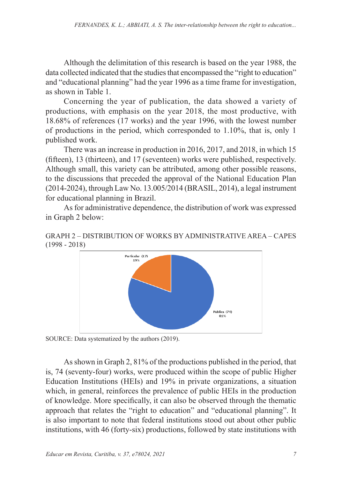Although the delimitation of this research is based on the year 1988, the data collected indicated that the studies that encompassed the "right to education" and "educational planning" had the year 1996 as a time frame for investigation, as shown in Table 1.

Concerning the year of publication, the data showed a variety of productions, with emphasis on the year 2018, the most productive, with 18.68% of references (17 works) and the year 1996, with the lowest number of productions in the period, which corresponded to 1.10%, that is, only 1 published work.

There was an increase in production in 2016, 2017, and 2018, in which 15 (fifteen), 13 (thirteen), and 17 (seventeen) works were published, respectively. Although small, this variety can be attributed, among other possible reasons, to the discussions that preceded the approval of the National Education Plan (2014-2024), through Law No. 13.005/2014 (BRASIL, 2014), a legal instrument for educational planning in Brazil.

As for administrative dependence, the distribution of work was expressed in Graph 2 below:





SOURCE: Data systematized by the authors (2019).

As shown in Graph 2, 81% of the productions published in the period, that is, 74 (seventy-four) works, were produced within the scope of public Higher Education Institutions (HEIs) and 19% in private organizations, a situation which, in general, reinforces the prevalence of public HEIs in the production of knowledge. More specifically, it can also be observed through the thematic approach that relates the "right to education" and "educational planning". It is also important to note that federal institutions stood out about other public institutions, with 46 (forty-six) productions, followed by state institutions with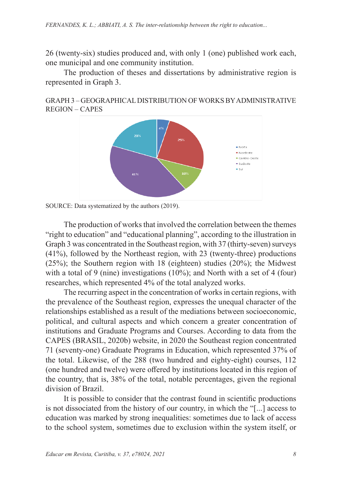26 (twenty-six) studies produced and, with only 1 (one) published work each, one municipal and one community institution.

The production of theses and dissertations by administrative region is represented in Graph 3.

### GRAPH 3 – GEOGRAPHICAL DISTRIBUTION OF WORKS BY ADMINISTRATIVE REGION – CAPES



SOURCE: Data systematized by the authors (2019).

The production of works that involved the correlation between the themes "right to education" and "educational planning", according to the illustration in Graph 3 was concentrated in the Southeast region, with 37 (thirty-seven) surveys (41%), followed by the Northeast region, with 23 (twenty-three) productions (25%); the Southern region with 18 (eighteen) studies (20%); the Midwest with a total of 9 (nine) investigations (10%); and North with a set of 4 (four) researches, which represented 4% of the total analyzed works.

The recurring aspect in the concentration of works in certain regions, with the prevalence of the Southeast region, expresses the unequal character of the relationships established as a result of the mediations between socioeconomic, political, and cultural aspects and which concern a greater concentration of institutions and Graduate Programs and Courses. According to data from the CAPES (BRASIL, 2020b) website, in 2020 the Southeast region concentrated 71 (seventy-one) Graduate Programs in Education, which represented 37% of the total. Likewise, of the 288 (two hundred and eighty-eight) courses, 112 (one hundred and twelve) were offered by institutions located in this region of the country, that is, 38% of the total, notable percentages, given the regional division of Brazil.

It is possible to consider that the contrast found in scientific productions is not dissociated from the history of our country, in which the "[...] access to education was marked by strong inequalities: sometimes due to lack of access to the school system, sometimes due to exclusion within the system itself, or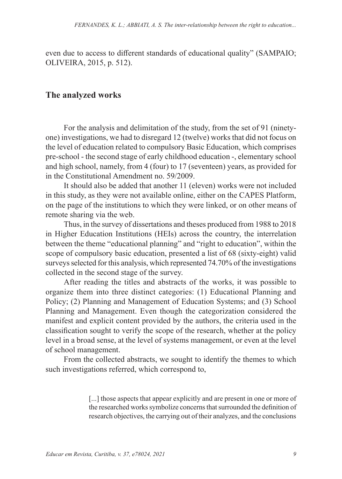even due to access to different standards of educational quality" (SAMPAIO; OLIVEIRA, 2015, p. 512).

## **The analyzed works**

For the analysis and delimitation of the study, from the set of 91 (ninetyone) investigations, we had to disregard 12 (twelve) works that did not focus on the level of education related to compulsory Basic Education, which comprises pre-school - the second stage of early childhood education -, elementary school and high school, namely, from 4 (four) to 17 (seventeen) years, as provided for in the Constitutional Amendment no. 59/2009.

It should also be added that another 11 (eleven) works were not included in this study, as they were not available online, either on the CAPES Platform, on the page of the institutions to which they were linked, or on other means of remote sharing via the web.

Thus, in the survey of dissertations and theses produced from 1988 to 2018 in Higher Education Institutions (HEIs) across the country, the interrelation between the theme "educational planning" and "right to education", within the scope of compulsory basic education, presented a list of 68 (sixty-eight) valid surveys selected for this analysis, which represented 74.70% of the investigations collected in the second stage of the survey.

After reading the titles and abstracts of the works, it was possible to organize them into three distinct categories: (1) Educational Planning and Policy; (2) Planning and Management of Education Systems; and (3) School Planning and Management. Even though the categorization considered the manifest and explicit content provided by the authors, the criteria used in the classification sought to verify the scope of the research, whether at the policy level in a broad sense, at the level of systems management, or even at the level of school management.

From the collected abstracts, we sought to identify the themes to which such investigations referred, which correspond to,

> [...] those aspects that appear explicitly and are present in one or more of the researched works symbolize concerns that surrounded the definition of research objectives, the carrying out of their analyzes, and the conclusions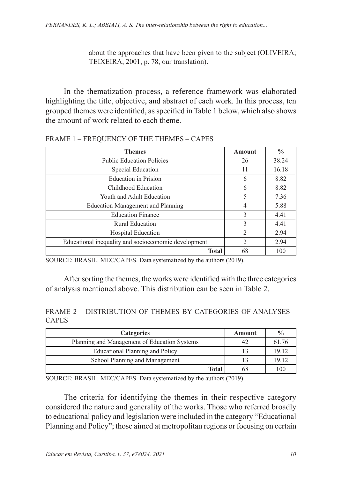about the approaches that have been given to the subject (OLIVEIRA; TEIXEIRA, 2001, p. 78, our translation).

In the thematization process, a reference framework was elaborated highlighting the title, objective, and abstract of each work. In this process, ten grouped themes were identified, as specified in Table 1 below, which also shows the amount of work related to each theme.

| <b>Themes</b>                                        | <b>Amount</b>  | $\frac{0}{0}$ |
|------------------------------------------------------|----------------|---------------|
| <b>Public Education Policies</b>                     | 26             | 38.24         |
| Special Education                                    | 11             | 16.18         |
| <b>Education</b> in Prision                          | 6              | 8.82          |
| Childhood Education                                  | 6              | 8.82          |
| Youth and Adult Education                            | 5              | 7.36          |
| <b>Education Management and Planning</b>             | 4              | 5.88          |
| <b>Education Finance</b>                             | 3              | 4.41          |
| Rural Education                                      | 3              | 4.41          |
| Hospital Education                                   | $\overline{2}$ | 2.94          |
| Educational inequality and socioeconomic development | $\overline{c}$ | 2.94          |
| <b>Total</b>                                         | 68             | 100           |

#### FRAME 1 – FREQUENCY OF THE THEMES – CAPES

SOURCE: BRASIL. MEC/CAPES. Data systematized by the authors (2019).

After sorting the themes, the works were identified with the three categories of analysis mentioned above. This distribution can be seen in Table 2.

#### FRAME 2 – DISTRIBUTION OF THEMES BY CATEGORIES OF ANALYSES – CAPES

| <b>Categories</b>                            | Amount | $\frac{0}{0}$ |
|----------------------------------------------|--------|---------------|
| Planning and Management of Education Systems | 42     | 61.76         |
| <b>Educational Planning and Policy</b>       |        | 19.12         |
| School Planning and Management               |        | 19.12         |
| <b>Total</b>                                 |        | 100           |

SOURCE: BRASIL. MEC/CAPES. Data systematized by the authors (2019).

The criteria for identifying the themes in their respective category considered the nature and generality of the works. Those who referred broadly to educational policy and legislation were included in the category "Educational Planning and Policy"; those aimed at metropolitan regions or focusing on certain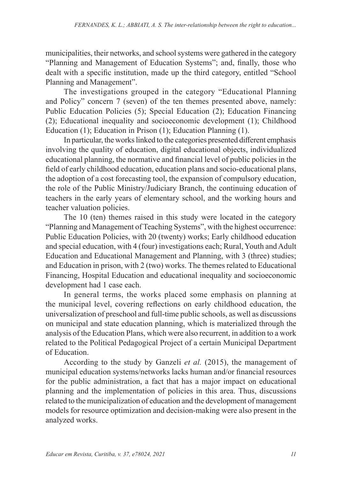municipalities, their networks, and school systems were gathered in the category "Planning and Management of Education Systems"; and, finally, those who dealt with a specific institution, made up the third category, entitled "School Planning and Management".

The investigations grouped in the category "Educational Planning and Policy" concern 7 (seven) of the ten themes presented above, namely: Public Education Policies (5); Special Education (2); Education Financing (2); Educational inequality and socioeconomic development (1); Childhood Education (1); Education in Prison (1); Education Planning (1).

In particular, the works linked to the categories presented different emphasis involving the quality of education, digital educational objects, individualized educational planning, the normative and financial level of public policies in the field of early childhood education, education plans and socio-educational plans, the adoption of a cost forecasting tool, the expansion of compulsory education, the role of the Public Ministry/Judiciary Branch, the continuing education of teachers in the early years of elementary school, and the working hours and teacher valuation policies.

The 10 (ten) themes raised in this study were located in the category "Planning and Management of Teaching Systems", with the highest occurrence: Public Education Policies, with 20 (twenty) works; Early childhood education and special education, with 4 (four) investigations each; Rural, Youth and Adult Education and Educational Management and Planning, with 3 (three) studies; and Education in prison, with 2 (two) works. The themes related to Educational Financing, Hospital Education and educational inequality and socioeconomic development had 1 case each.

In general terms, the works placed some emphasis on planning at the municipal level, covering reflections on early childhood education, the universalization of preschool and full-time public schools, as well as discussions on municipal and state education planning, which is materialized through the analysis of the Education Plans, which were also recurrent, in addition to a work related to the Political Pedagogical Project of a certain Municipal Department of Education.

According to the study by Ganzeli *et al.* (2015), the management of municipal education systems/networks lacks human and/or financial resources for the public administration, a fact that has a major impact on educational planning and the implementation of policies in this area. Thus, discussions related to the municipalization of education and the development of management models for resource optimization and decision-making were also present in the analyzed works.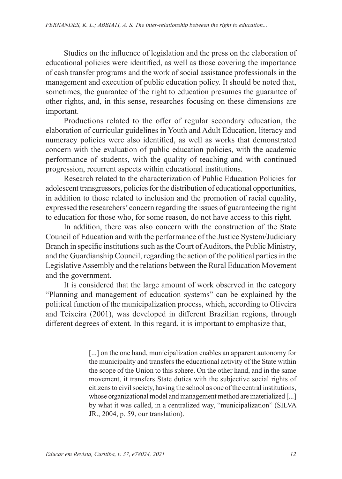Studies on the influence of legislation and the press on the elaboration of educational policies were identified, as well as those covering the importance of cash transfer programs and the work of social assistance professionals in the management and execution of public education policy. It should be noted that, sometimes, the guarantee of the right to education presumes the guarantee of other rights, and, in this sense, researches focusing on these dimensions are important.

Productions related to the offer of regular secondary education, the elaboration of curricular guidelines in Youth and Adult Education, literacy and numeracy policies were also identified, as well as works that demonstrated concern with the evaluation of public education policies, with the academic performance of students, with the quality of teaching and with continued progression, recurrent aspects within educational institutions.

Research related to the characterization of Public Education Policies for adolescent transgressors, policies for the distribution of educational opportunities, in addition to those related to inclusion and the promotion of racial equality, expressed the researchers' concern regarding the issues of guaranteeing the right to education for those who, for some reason, do not have access to this right.

In addition, there was also concern with the construction of the State Council of Education and with the performance of the Justice System/Judiciary Branch in specific institutions such as the Court of Auditors, the Public Ministry, and the Guardianship Council, regarding the action of the political parties in the Legislative Assembly and the relations between the Rural Education Movement and the government.

It is considered that the large amount of work observed in the category "Planning and management of education systems" can be explained by the political function of the municipalization process, which, according to Oliveira and Teixeira (2001), was developed in different Brazilian regions, through different degrees of extent. In this regard, it is important to emphasize that,

> [...] on the one hand, municipalization enables an apparent autonomy for the municipality and transfers the educational activity of the State within the scope of the Union to this sphere. On the other hand, and in the same movement, it transfers State duties with the subjective social rights of citizens to civil society, having the school as one of the central institutions, whose organizational model and management method are materialized [...] by what it was called, in a centralized way, "municipalization" (SILVA JR., 2004, p. 59, our translation).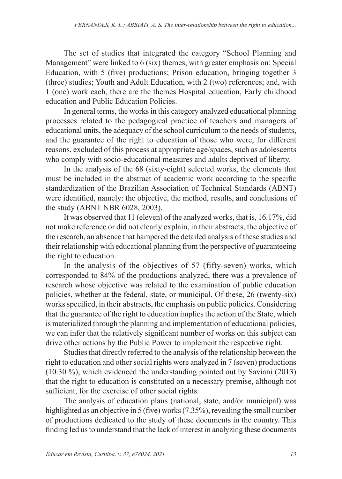The set of studies that integrated the category "School Planning and Management" were linked to 6 (six) themes, with greater emphasis on: Special Education, with 5 (five) productions; Prison education, bringing together 3 (three) studies; Youth and Adult Education, with 2 (two) references; and, with 1 (one) work each, there are the themes Hospital education, Early childhood education and Public Education Policies.

In general terms, the works in this category analyzed educational planning processes related to the pedagogical practice of teachers and managers of educational units, the adequacy of the school curriculum to the needs of students, and the guarantee of the right to education of those who were, for different reasons, excluded of this process at appropriate age/spaces, such as adolescents who comply with socio-educational measures and adults deprived of liberty.

In the analysis of the 68 (sixty-eight) selected works, the elements that must be included in the abstract of academic work according to the specific standardization of the Brazilian Association of Technical Standards (ABNT) were identified, namely: the objective, the method, results, and conclusions of the study (ABNT NBR 6028, 2003).

It was observed that 11 (eleven) of the analyzed works, that is, 16.17%, did not make reference or did not clearly explain, in their abstracts, the objective of the research, an absence that hampered the detailed analysis of these studies and their relationship with educational planning from the perspective of guaranteeing the right to education.

In the analysis of the objectives of 57 (fifty-seven) works, which corresponded to 84% of the productions analyzed, there was a prevalence of research whose objective was related to the examination of public education policies, whether at the federal, state, or municipal. Of these, 26 (twenty-six) works specified, in their abstracts, the emphasis on public policies. Considering that the guarantee of the right to education implies the action of the State, which is materialized through the planning and implementation of educational policies, we can infer that the relatively significant number of works on this subject can drive other actions by the Public Power to implement the respective right.

Studies that directly referred to the analysis of the relationship between the right to education and other social rights were analyzed in 7 (seven) productions (10.30 %), which evidenced the understanding pointed out by Saviani (2013) that the right to education is constituted on a necessary premise, although not sufficient, for the exercise of other social rights.

The analysis of education plans (national, state, and/or municipal) was highlighted as an objective in 5 (five) works (7.35%), revealing the small number of productions dedicated to the study of these documents in the country. This finding led us to understand that the lack of interest in analyzing these documents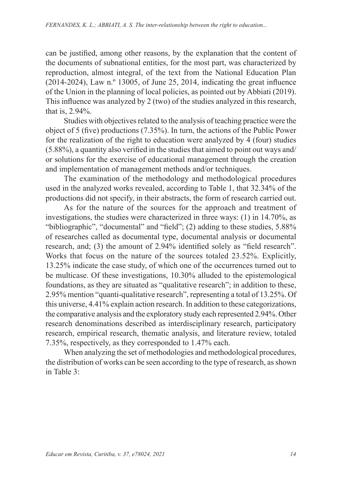can be justified, among other reasons, by the explanation that the content of the documents of subnational entities, for the most part, was characterized by reproduction, almost integral, of the text from the National Education Plan  $(2014-2024)$ , Law n.<sup>o</sup> 13005, of June 25, 2014, indicating the great influence of the Union in the planning of local policies, as pointed out by Abbiati (2019). This influence was analyzed by 2 (two) of the studies analyzed in this research, that is, 2.94%.

Studies with objectives related to the analysis of teaching practice were the object of 5 (five) productions (7.35%). In turn, the actions of the Public Power for the realization of the right to education were analyzed by 4 (four) studies (5.88%), a quantity also verified in the studies that aimed to point out ways and/ or solutions for the exercise of educational management through the creation and implementation of management methods and/or techniques.

The examination of the methodology and methodological procedures used in the analyzed works revealed, according to Table 1, that 32.34% of the productions did not specify, in their abstracts, the form of research carried out.

As for the nature of the sources for the approach and treatment of investigations, the studies were characterized in three ways: (1) in 14.70%, as "bibliographic", "documental" and "field"; (2) adding to these studies, 5.88% of researches called as documental type, documental analysis or documental research, and; (3) the amount of 2.94% identified solely as "field research". Works that focus on the nature of the sources totaled 23.52%. Explicitly, 13.25% indicate the case study, of which one of the occurrences turned out to be multicase. Of these investigations, 10.30% alluded to the epistemological foundations, as they are situated as "qualitative research"; in addition to these, 2.95% mention "quanti-qualitative research", representing a total of 13.25%. Of this universe, 4.41% explain action research. In addition to these categorizations, the comparative analysis and the exploratory study each represented 2.94%. Other research denominations described as interdisciplinary research, participatory research, empirical research, thematic analysis, and literature review, totaled 7.35%, respectively, as they corresponded to 1.47% each.

When analyzing the set of methodologies and methodological procedures, the distribution of works can be seen according to the type of research, as shown in Table 3: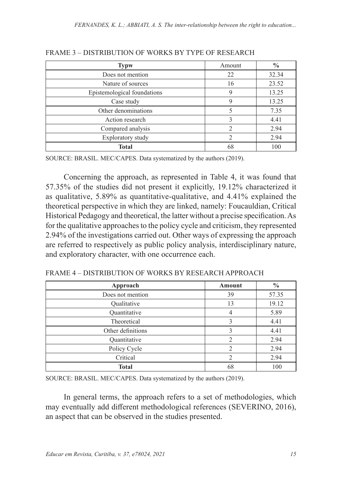| <b>Typw</b>                 | Amount | $\frac{0}{0}$ |
|-----------------------------|--------|---------------|
| Does not mention            | 22     | 32.34         |
| Nature of sources           | 16     | 23.52         |
| Epistemological foundations | 9      | 13.25         |
| Case study                  | q      | 13.25         |
| Other denominations         |        | 7.35          |
| Action research             | 3      | 4.41          |
| Compared analysis           |        | 2.94          |
| Exploratory study           |        | 2.94          |
| <b>Total</b>                |        | 100           |

FRAME 3 – DISTRIBUTION OF WORKS BY TYPE OF RESEARCH

SOURCE: BRASIL. MEC/CAPES. Data systematized by the authors (2019).

Concerning the approach, as represented in Table 4, it was found that 57.35% of the studies did not present it explicitly, 19.12% characterized it as qualitative, 5.89% as quantitative-qualitative, and 4.41% explained the theoretical perspective in which they are linked, namely: Foucauldian, Critical Historical Pedagogy and theoretical, the latter without a precise specification. As for the qualitative approaches to the policy cycle and criticism, they represented 2.94% of the investigations carried out. Other ways of expressing the approach are referred to respectively as public policy analysis, interdisciplinary nature, and exploratory character, with one occurrence each.

| Approach          | <b>Amount</b> | $\frac{0}{0}$ |
|-------------------|---------------|---------------|
| Does not mention  | 39            | 57.35         |
| Qualitative       | 13            | 19.12         |
| Quantitative      |               | 5.89          |
| Theoretical       | 3             | 4.41          |
| Other definitions | 3             | 4.41          |
| Quantitative      | $\mathcal{D}$ | 2.94          |
| Policy Cycle      | C             | 2.94          |
| Critical          |               | 2.94          |
| <b>Total</b>      |               | 100           |

FRAME 4 – DISTRIBUTION OF WORKS BY RESEARCH APPROACH

SOURCE: BRASIL. MEC/CAPES. Data systematized by the authors (2019).

In general terms, the approach refers to a set of methodologies, which may eventually add different methodological references (SEVERINO, 2016), an aspect that can be observed in the studies presented.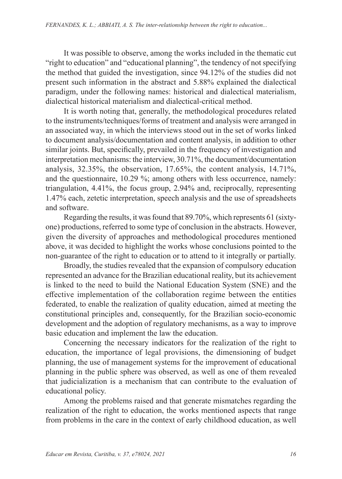It was possible to observe, among the works included in the thematic cut "right to education" and "educational planning", the tendency of not specifying the method that guided the investigation, since 94.12% of the studies did not present such information in the abstract and 5.88% explained the dialectical paradigm, under the following names: historical and dialectical materialism, dialectical historical materialism and dialectical-critical method.

It is worth noting that, generally, the methodological procedures related to the instruments/techniques/forms of treatment and analysis were arranged in an associated way, in which the interviews stood out in the set of works linked to document analysis/documentation and content analysis, in addition to other similar joints. But, specifically, prevailed in the frequency of investigation and interpretation mechanisms: the interview, 30.71%, the document/documentation analysis, 32.35%, the observation, 17.65%, the content analysis, 14.71%, and the questionnaire, 10.29 %; among others with less occurrence, namely: triangulation, 4.41%, the focus group, 2.94% and, reciprocally, representing 1.47% each, zetetic interpretation, speech analysis and the use of spreadsheets and software.

Regarding the results, it was found that 89.70%, which represents 61 (sixtyone) productions, referred to some type of conclusion in the abstracts. However, given the diversity of approaches and methodological procedures mentioned above, it was decided to highlight the works whose conclusions pointed to the non-guarantee of the right to education or to attend to it integrally or partially.

Broadly, the studies revealed that the expansion of compulsory education represented an advance for the Brazilian educational reality, but its achievement is linked to the need to build the National Education System (SNE) and the effective implementation of the collaboration regime between the entities federated, to enable the realization of quality education, aimed at meeting the constitutional principles and, consequently, for the Brazilian socio-economic development and the adoption of regulatory mechanisms, as a way to improve basic education and implement the law the education.

Concerning the necessary indicators for the realization of the right to education, the importance of legal provisions, the dimensioning of budget planning, the use of management systems for the improvement of educational planning in the public sphere was observed, as well as one of them revealed that judicialization is a mechanism that can contribute to the evaluation of educational policy.

Among the problems raised and that generate mismatches regarding the realization of the right to education, the works mentioned aspects that range from problems in the care in the context of early childhood education, as well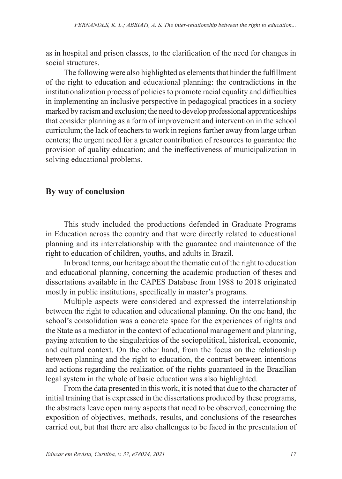as in hospital and prison classes, to the clarification of the need for changes in social structures.

The following were also highlighted as elements that hinder the fulfillment of the right to education and educational planning: the contradictions in the institutionalization process of policies to promote racial equality and difficulties in implementing an inclusive perspective in pedagogical practices in a society marked by racism and exclusion; the need to develop professional apprenticeships that consider planning as a form of improvement and intervention in the school curriculum; the lack of teachers to work in regions farther away from large urban centers; the urgent need for a greater contribution of resources to guarantee the provision of quality education; and the ineffectiveness of municipalization in solving educational problems.

## **By way of conclusion**

This study included the productions defended in Graduate Programs in Education across the country and that were directly related to educational planning and its interrelationship with the guarantee and maintenance of the right to education of children, youths, and adults in Brazil.

In broad terms, our heritage about the thematic cut of the right to education and educational planning, concerning the academic production of theses and dissertations available in the CAPES Database from 1988 to 2018 originated mostly in public institutions, specifically in master's programs.

Multiple aspects were considered and expressed the interrelationship between the right to education and educational planning. On the one hand, the school's consolidation was a concrete space for the experiences of rights and the State as a mediator in the context of educational management and planning, paying attention to the singularities of the sociopolitical, historical, economic, and cultural context. On the other hand, from the focus on the relationship between planning and the right to education, the contrast between intentions and actions regarding the realization of the rights guaranteed in the Brazilian legal system in the whole of basic education was also highlighted.

From the data presented in this work, it is noted that due to the character of initial training that is expressed in the dissertations produced by these programs, the abstracts leave open many aspects that need to be observed, concerning the exposition of objectives, methods, results, and conclusions of the researches carried out, but that there are also challenges to be faced in the presentation of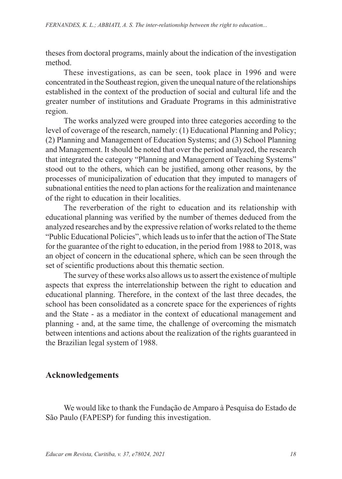theses from doctoral programs, mainly about the indication of the investigation method.

These investigations, as can be seen, took place in 1996 and were concentrated in the Southeast region, given the unequal nature of the relationships established in the context of the production of social and cultural life and the greater number of institutions and Graduate Programs in this administrative region.

The works analyzed were grouped into three categories according to the level of coverage of the research, namely: (1) Educational Planning and Policy; (2) Planning and Management of Education Systems; and (3) School Planning and Management. It should be noted that over the period analyzed, the research that integrated the category "Planning and Management of Teaching Systems" stood out to the others, which can be justified, among other reasons, by the processes of municipalization of education that they imputed to managers of subnational entities the need to plan actions for the realization and maintenance of the right to education in their localities.

The reverberation of the right to education and its relationship with educational planning was verified by the number of themes deduced from the analyzed researches and by the expressive relation of works related to the theme "Public Educational Policies", which leads us to infer that the action of The State for the guarantee of the right to education, in the period from 1988 to 2018, was an object of concern in the educational sphere, which can be seen through the set of scientific productions about this thematic section.

The survey of these works also allows us to assert the existence of multiple aspects that express the interrelationship between the right to education and educational planning. Therefore, in the context of the last three decades, the school has been consolidated as a concrete space for the experiences of rights and the State - as a mediator in the context of educational management and planning - and, at the same time, the challenge of overcoming the mismatch between intentions and actions about the realization of the rights guaranteed in the Brazilian legal system of 1988.

## **Acknowledgements**

We would like to thank the Fundação de Amparo à Pesquisa do Estado de São Paulo (FAPESP) for funding this investigation.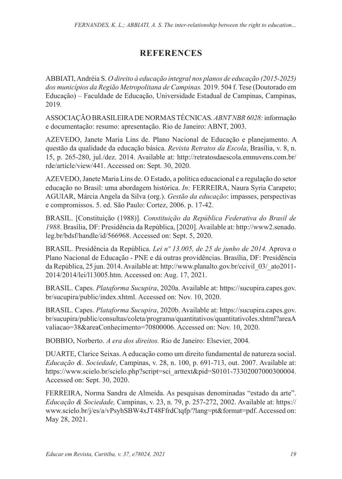## **REFERENCES**

ABBIATI, Andréia S. *O direito à educação integral nos planos de educação (2015-2025) dos municípios da Região Metropolitana de Campinas.* 2019. 504 f. Tese (Doutorado em Educação) – Faculdade de Educação, Universidade Estadual de Campinas, Campinas, 2019.

ASSOCIAÇÃO BRASILEIRA DE NORMAS TÉCNICAS. *ABNT NBR 6028:* informação e documentação: resumo: apresentação. Rio de Janeiro: ABNT, 2003.

AZEVEDO, Janete Maria Lins de. Plano Nacional de Educação e planejamento. A questão da qualidade da educação básica. *Revista Retratos da Escola*, Brasília, v. 8, n. 15, p. 265-280, jul./dez. 2014. Available at: http://retratosdaescola.emnuvens.com.br/ rde/article/view/441. Accessed on: Sept. 30, 2020.

AZEVEDO, Janete Maria Lins de. O Estado, a política educacional e a regulação do setor educação no Brasil: uma abordagem histórica. *In:* FERREIRA, Naura Syria Carapeto; AGUIAR, Márcia Angela da Silva (org.). *Gestão da educação*: impasses, perspectivas e compromissos. 5. ed. São Paulo: Cortez, 2006. p. 17-42.

BRASIL. [Constituição (1988)]. *Constituição da República Federativa do Brasil de 1988*. Brasília, DF: Presidência da República, [2020]. Available at: http://www2.senado. leg.br/bdsf/handle/id/566968. Accessed on: Sept. 5, 2020.

BRASIL. Presidência da República. *Lei nº 13.005, de 25 de junho de 2014.* Aprova o Plano Nacional de Educação - PNE e dá outras providências. Brasília, DF: Presidência da República, 25 jun. 2014. Available at: http://www.planalto.gov.br/ccivil\_03/\_ato2011- 2014/2014/lei/l13005.htm. Accessed on: Aug. 17, 2021.

BRASIL. Capes. *Plataforma Sucupira*, 2020a. Available at: https://sucupira.capes.gov. br/sucupira/public/index.xhtml. Accessed on: Nov. 10, 2020.

BRASIL. Capes. *Plataforma Sucupira*, 2020b. Available at: https://sucupira.capes.gov. br/sucupira/public/consultas/coleta/programa/quantitativos/quantitativoIes.xhtml?areaA valiacao=38&areaConhecimento=70800006. Accessed on: Nov. 10, 2020.

BOBBIO, Norberto. *A era dos direitos.* Rio de Janeiro: Elsevier, 2004.

DUARTE, Clarice Seixas. A educação como um direito fundamental de natureza social. *Educação &. Sociedade*, Campinas, v. 28, n. 100, p. 691-713, out. 2007. Available at: https://www.scielo.br/scielo.php?script=sci\_arttext&pid=S0101-73302007000300004. Accessed on: Sept. 30, 2020.

FERREIRA, Norma Sandra de Almeida. As pesquisas denominadas "estado da arte". *Educação & Sociedade,* Campinas, v. 23, n. 79, p. 257-272, 2002. Available at: https:// www.scielo.br/j/es/a/vPsyhSBW4xJT48FfrdCtqfp/?lang=pt&format=pdf. Accessed on: May 28, 2021.